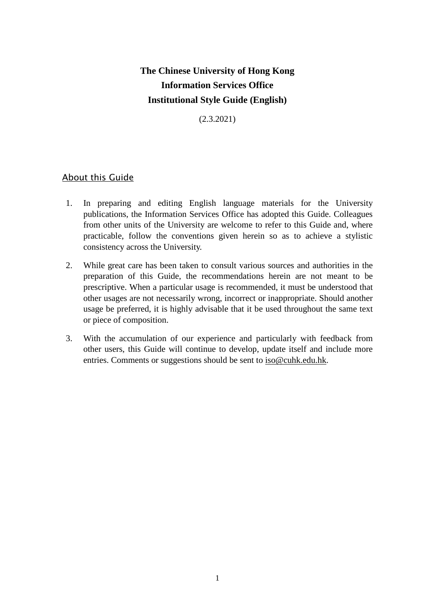# **The Chinese University of Hong Kong Information Services Office Institutional Style Guide (English)**

(2.3.2021)

## About this Guide

- 1. In preparing and editing English language materials for the University publications, the Information Services Office has adopted this Guide. Colleagues from other units of the University are welcome to refer to this Guide and, where practicable, follow the conventions given herein so as to achieve a stylistic consistency across the University.
- 2. While great care has been taken to consult various sources and authorities in the preparation of this Guide, the recommendations herein are not meant to be prescriptive. When a particular usage is recommended, it must be understood that other usages are not necessarily wrong, incorrect or inappropriate. Should another usage be preferred, it is highly advisable that it be used throughout the same text or piece of composition.
- 3. With the accumulation of our experience and particularly with feedback from other users, this Guide will continue to develop, update itself and include more entries. Comments or suggestions should be sent to [iso@cuhk.edu.hk.](mailto:iso@cuhk.edu.hk)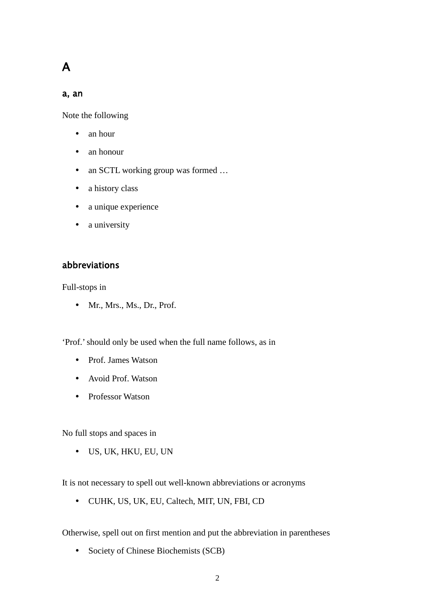# A

### a, an

Note the following

- an hour
- an honour
- an SCTL working group was formed ...
- a history class
- a unique experience
- a university

### abbreviations

Full-stops in

• Mr., Mrs., Ms., Dr., Prof.

'Prof.' should only be used when the full name follows, as in

- Prof. James Watson
- Avoid Prof. Watson
- Professor Watson

No full stops and spaces in

US, UK, HKU, EU, UN

It is not necessary to spell out well-known abbreviations or acronyms

CUHK, US, UK, EU, Caltech, MIT, UN, FBI, CD

Otherwise, spell out on first mention and put the abbreviation in parentheses

• Society of Chinese Biochemists (SCB)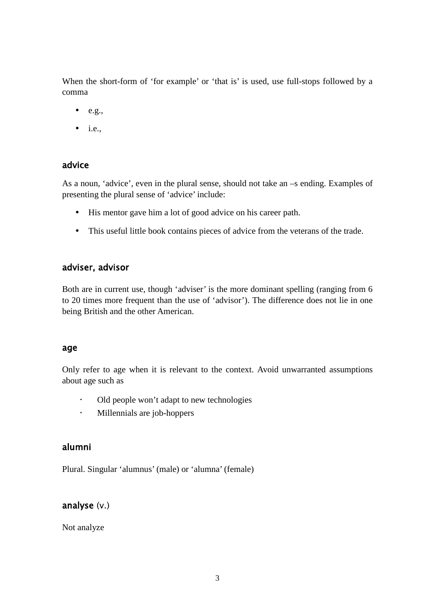When the short-form of 'for example' or 'that is' is used, use full-stops followed by a comma

- $e.g.,$
- $\bullet$  i.e.,

### advice

As a noun, 'advice', even in the plural sense, should not take an –s ending. Examples of presenting the plural sense of 'advice' include:

- His mentor gave him a lot of good advice on his career path.
- This useful little book contains pieces of advice from the veterans of the trade.

### adviser, advisor

Both are in current use, though 'adviser' is the more dominant spelling (ranging from 6 to 20 times more frequent than the use of 'advisor'). The difference does not lie in one being British and the other American.

### age

Only refer to age when it is relevant to the context. Avoid unwarranted assumptions about age such as

- Old people won't adapt to new technologies
- Millennials are job-hoppers

### alumni

Plural. Singular 'alumnus' (male) or 'alumna' (female)

### analyse (v.)

Not analyze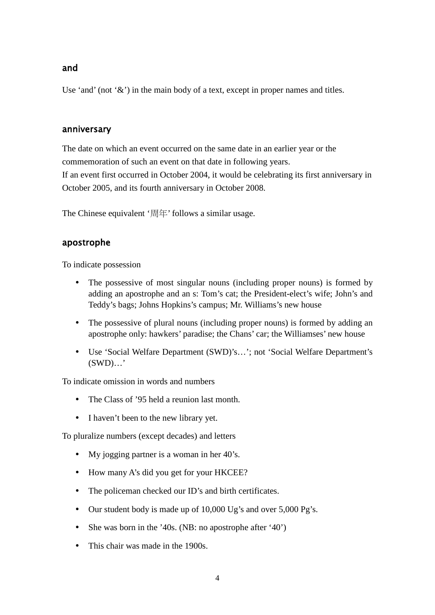### and

Use 'and' (not ' $\&$ ') in the main body of a text, except in proper names and titles.

### anniversary

The date on which an event occurred on the same date in an earlier year or the commemoration of such an event on that date in following years.

If an event first occurred in October 2004, it would be celebrating its first anniversary in October 2005, and its fourth anniversary in October 2008.

The Chinese equivalent '周年' follows a similar usage.

### apostrophe

To indicate possession

- The possessive of most singular nouns (including proper nouns) is formed by adding an apostrophe and an s: Tom's cat; the President-elect's wife; John's and Teddy's bags; Johns Hopkins's campus; Mr. Williams's new house
- The possessive of plural nouns (including proper nouns) is formed by adding an apostrophe only: hawkers' paradise; the Chans' car; the Williamses' new house
- Use 'Social Welfare Department (SWD)'s…'; not 'Social Welfare Department's (SWD)…'

To indicate omission in words and numbers

- The Class of '95 held a reunion last month.
- I haven't been to the new library yet.

To pluralize numbers (except decades) and letters

- My jogging partner is a woman in her 40's.
- How many A's did you get for your HKCEE?
- The policeman checked our ID's and birth certificates.
- Our student body is made up of 10,000 Ug's and over 5,000 Pg's.
- She was born in the '40s. (NB: no apostrophe after '40')
- This chair was made in the 1900s.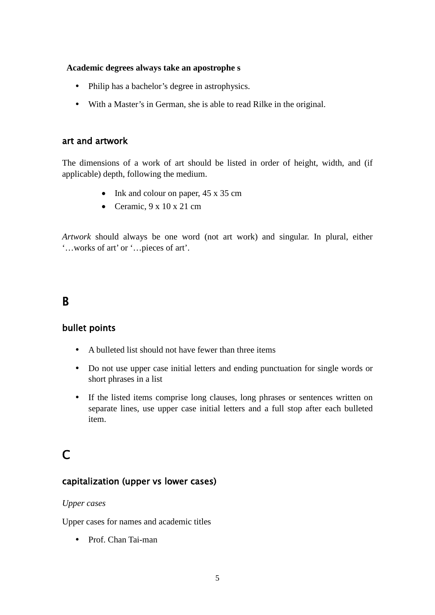### **Academic degrees always take an apostrophe s**

- Philip has a bachelor's degree in astrophysics.
- With a Master's in German, she is able to read Rilke in the original.

### art and artwork

The dimensions of a work of art should be listed in order of height, width, and (if applicable) depth, following the medium.

- Ink and colour on paper, 45 x 35 cm
- Ceramic,  $9 \times 10 \times 21$  cm

*Artwork* should always be one word (not art work) and singular. In plural, either '…works of art' or '…pieces of art'.

# B

# bullet points

- A bulleted list should not have fewer than three items
- Do not use upper case initial letters and ending punctuation for single words or short phrases in a list
- If the listed items comprise long clauses, long phrases or sentences written on separate lines, use upper case initial letters and a full stop after each bulleted item.

# $\mathsf{C}$

### capitalization (upper vs lower cases)

### *Upper cases*

Upper cases for names and academic titles

• Prof. Chan Tai-man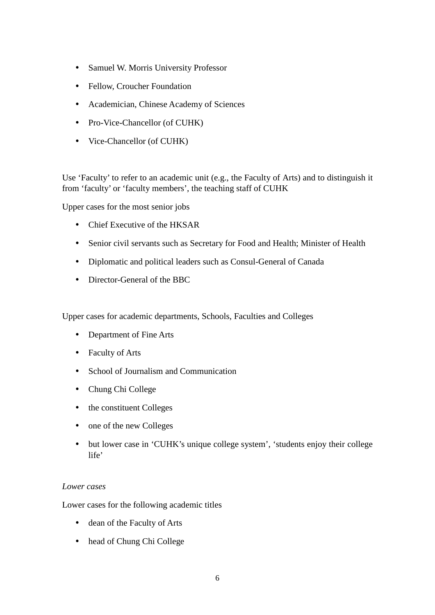- Samuel W. Morris University Professor
- Fellow, Croucher Foundation
- Academician, Chinese Academy of Sciences
- Pro-Vice-Chancellor (of CUHK)
- Vice-Chancellor (of CUHK)

Use 'Faculty' to refer to an academic unit (e.g., the Faculty of Arts) and to distinguish it from 'faculty' or 'faculty members', the teaching staff of CUHK

Upper cases for the most senior jobs

- Chief Executive of the HKSAR
- Senior civil servants such as Secretary for Food and Health; Minister of Health
- Diplomatic and political leaders such as Consul-General of Canada
- Director-General of the BBC

Upper cases for academic departments, Schools, Faculties and Colleges

- Department of Fine Arts
- Faculty of Arts
- School of Journalism and Communication
- Chung Chi College
- the constituent Colleges
- one of the new Colleges
- but lower case in 'CUHK's unique college system', 'students enjoy their college life'

### *Lower cases*

Lower cases for the following academic titles

- dean of the Faculty of Arts
- head of Chung Chi College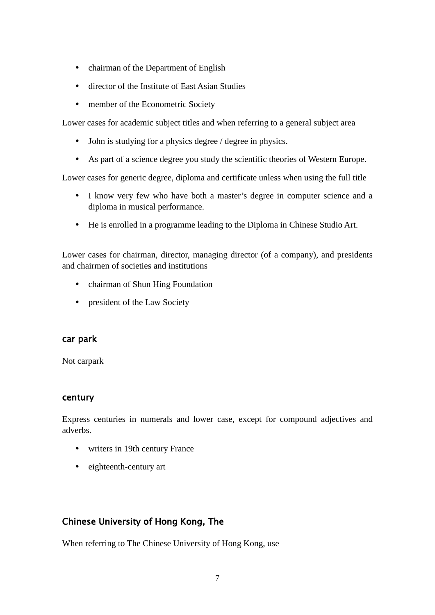- chairman of the Department of English
- director of the Institute of East Asian Studies
- member of the Econometric Society

Lower cases for academic subject titles and when referring to a general subject area

- John is studying for a physics degree / degree in physics.
- As part of a science degree you study the scientific theories of Western Europe.

Lower cases for generic degree, diploma and certificate unless when using the full title

- I know very few who have both a master's degree in computer science and a diploma in musical performance.
- He is enrolled in a programme leading to the Diploma in Chinese Studio Art.

Lower cases for chairman, director, managing director (of a company), and presidents and chairmen of societies and institutions

- chairman of Shun Hing Foundation
- president of the Law Society

### car park

Not carpark

### century

Express centuries in numerals and lower case, except for compound adjectives and adverbs.

- writers in 19th century France
- eighteenth-century art

# Chinese University of Hong Kong, The

When referring to The Chinese University of Hong Kong, use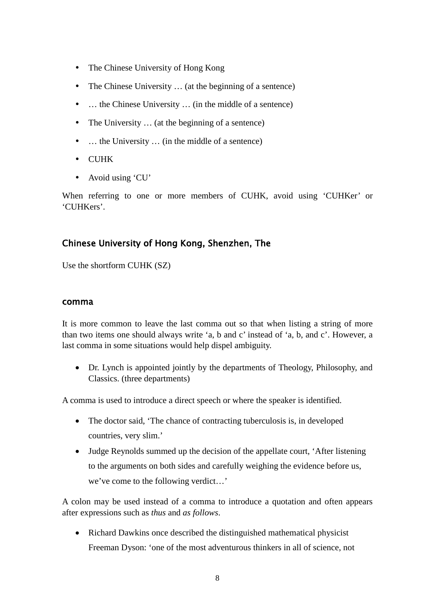- The Chinese University of Hong Kong
- The Chinese University ... (at the beginning of a sentence)
- ... the Chinese University ... (in the middle of a sentence)
- The University ... (at the beginning of a sentence)
- ... the University ... (in the middle of a sentence)
- CUHK
- Avoid using 'CU'

When referring to one or more members of CUHK, avoid using 'CUHKer' or 'CUHKers'.

# Chinese University of Hong Kong, Shenzhen, The

Use the shortform CUHK (SZ)

### comma

It is more common to leave the last comma out so that when listing a string of more than two items one should always write 'a, b and c' instead of 'a, b, and c'. However, a last comma in some situations would help dispel ambiguity.

• Dr. Lynch is appointed jointly by the departments of Theology, Philosophy, and Classics. (three departments)

A comma is used to introduce a direct speech or where the speaker is identified.

- The doctor said, 'The chance of contracting tuberculosis is, in developed countries, very slim.'
- Judge Reynolds summed up the decision of the appellate court, 'After listening to the arguments on both sides and carefully weighing the evidence before us, we've come to the following verdict…'

A colon may be used instead of a comma to introduce a quotation and often appears after expressions such as *thus* and *as follows*.

• Richard Dawkins once described the distinguished mathematical physicist Freeman Dyson: 'one of the most adventurous thinkers in all of science, not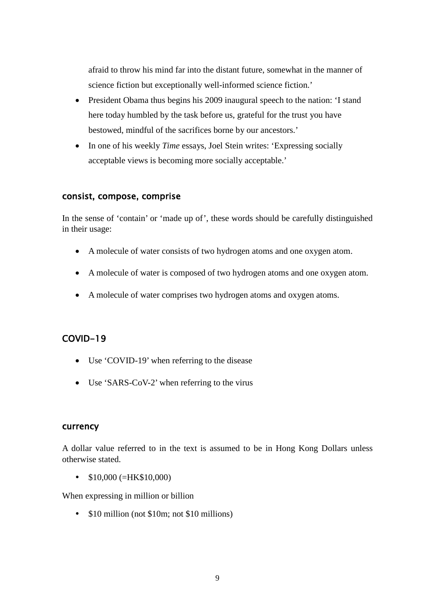afraid to throw his mind far into the distant future, somewhat in the manner of science fiction but exceptionally well-informed science fiction.'

- President Obama thus begins his 2009 inaugural speech to the nation: 'I stand here today humbled by the task before us, grateful for the trust you have bestowed, mindful of the sacrifices borne by our ancestors.'
- In one of his weekly *Time* essays, Joel Stein writes: 'Expressing socially acceptable views is becoming more socially acceptable.'

### consist, compose, comprise

In the sense of 'contain' or 'made up of', these words should be carefully distinguished in their usage:

- A molecule of water consists of two hydrogen atoms and one oxygen atom.
- A molecule of water is composed of two hydrogen atoms and one oxygen atom.
- A molecule of water comprises two hydrogen atoms and oxygen atoms.

## COVID-19

- Use 'COVID-19' when referring to the disease
- Use 'SARS-CoV-2' when referring to the virus

### currency

A dollar value referred to in the text is assumed to be in Hong Kong Dollars unless otherwise stated.

 $\bullet$  \$10,000 (=HK\$10,000)

When expressing in million or billion

• \$10 million (not \$10m; not \$10 millions)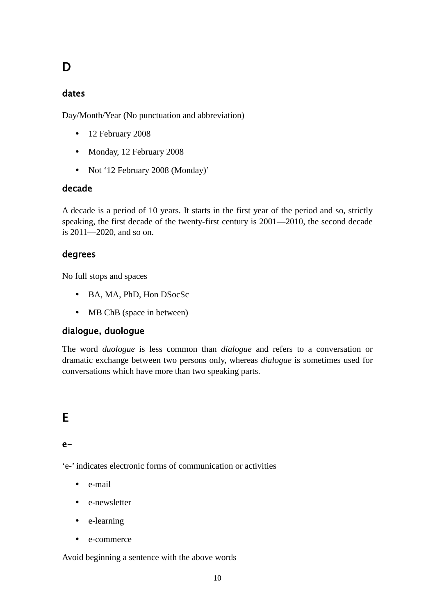# D

## dates

Day/Month/Year (No punctuation and abbreviation)

- 12 February 2008
- Monday, 12 February 2008
- Not '12 February 2008 (Monday)'

## decade

A decade is a period of 10 years. It starts in the first year of the period and so, strictly speaking, the first decade of the twenty-first century is 2001—2010, the second decade is 2011—2020, and so on.

### degrees

No full stops and spaces

- BA, MA, PhD, Hon DSocSc
- MB ChB (space in between)

### dialogue, duologue

The word *duologue* is less common than *dialogue* and refers to a conversation or dramatic exchange between two persons only, whereas *dialogue* is sometimes used for conversations which have more than two speaking parts.

# $\overline{a}$ E

### e-

'e-' indicates electronic forms of communication or activities

- e-mail
- e-newsletter
- e-learning
- e-commerce

Avoid beginning a sentence with the above words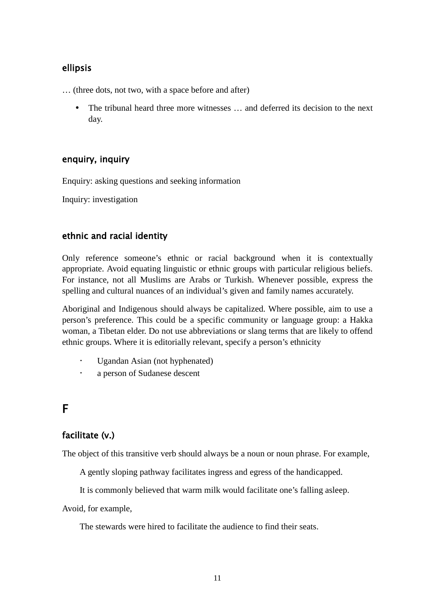# ellipsis

… (three dots, not two, with a space before and after)

 The tribunal heard three more witnesses … and deferred its decision to the next day.

# enquiry, inquiry

Enquiry: asking questions and seeking information

Inquiry: investigation

# ethnic and racial identity

Only reference someone's ethnic or racial background when it is contextually appropriate. Avoid equating linguistic or ethnic groups with particular religious beliefs. For instance, not all Muslims are Arabs or Turkish. Whenever possible, express the spelling and cultural nuances of an individual's given and family names accurately.

Aboriginal and Indigenous should always be capitalized. Where possible, aim to use a person's preference. This could be a specific community or language group: a Hakka woman, a Tibetan elder. Do not use abbreviations or slang terms that are likely to offend ethnic groups. Where it is editorially relevant, specify a person's ethnicity

- Ugandan Asian (not hyphenated)
- a person of Sudanese descent

# F

# facilitate (v.)

The object of this transitive verb should always be a noun or noun phrase. For example,

A gently sloping pathway facilitates ingress and egress of the handicapped.

It is commonly believed that warm milk would facilitate one's falling asleep.

Avoid, for example,

The stewards were hired to facilitate the audience to find their seats.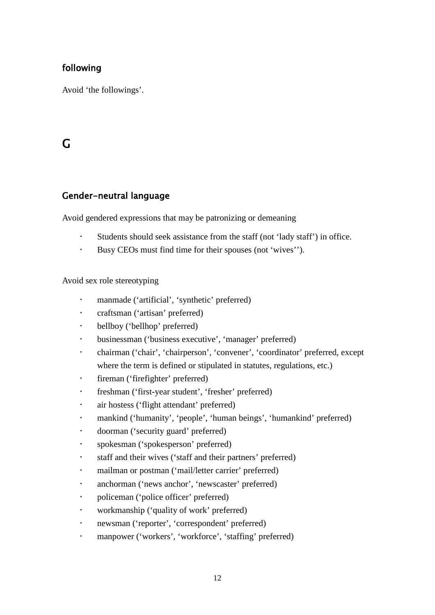# following

Avoid 'the followings'.

# G

# Gender-neutral language

Avoid gendered expressions that may be patronizing or demeaning

- Students should seek assistance from the staff (not 'lady staff') in office.
- Busy CEOs must find time for their spouses (not 'wives'').

Avoid sex role stereotyping

- manmade ('artificial', 'synthetic' preferred)
- craftsman ('artisan' preferred)
- bellboy ('bellhop' preferred)
- businessman ('business executive', 'manager' preferred)
- chairman ('chair', 'chairperson', 'convener', 'coordinator' preferred, except where the term is defined or stipulated in statutes, regulations, etc.)
- fireman ('firefighter' preferred)
- freshman ('first-year student', 'fresher' preferred)
- air hostess ('flight attendant' preferred)
- mankind ('humanity', 'people', 'human beings', 'humankind' preferred)
- doorman ('security guard' preferred)
- spokesman ('spokesperson' preferred)
- staff and their wives ('staff and their partners' preferred)
- mailman or postman ('mail/letter carrier' preferred)
- anchorman ('news anchor', 'newscaster' preferred)
- policeman ('police officer' preferred)
- workmanship ('quality of work' preferred)
- newsman ('reporter', 'correspondent' preferred)
- manpower ('workers', 'workforce', 'staffing' preferred)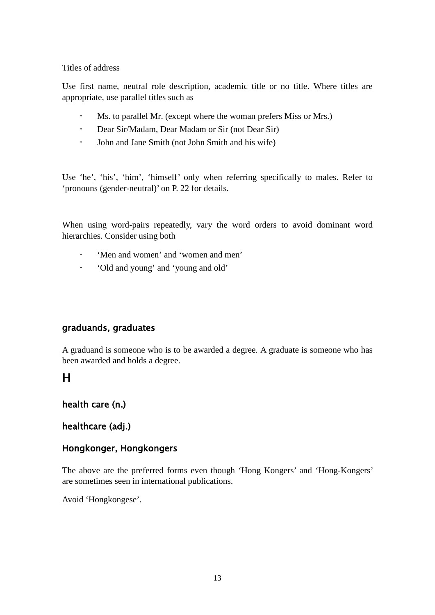Titles of address

Use first name, neutral role description, academic title or no title. Where titles are appropriate, use parallel titles such as

- Ms. to parallel Mr. (except where the woman prefers Miss or Mrs.)
- Dear Sir/Madam, Dear Madam or Sir (not Dear Sir)
- John and Jane Smith (not John Smith and his wife)

Use 'he', 'his', 'him', 'himself' only when referring specifically to males. Refer to 'pronouns (gender-neutral)' on P. 22 for details.

When using word-pairs repeatedly, vary the word orders to avoid dominant word hierarchies. Consider using both

- 'Men and women' and 'women and men'
- 'Old and young' and 'young and old'

## graduands, graduates

A graduand is someone who is to be awarded a degree. A graduate is someone who has been awarded and holds a degree.

# H

## health care (n.)

## healthcare (adj.)

## Hongkonger, Hongkongers

The above are the preferred forms even though 'Hong Kongers' and 'Hong-Kongers' are sometimes seen in international publications.

Avoid 'Hongkongese'.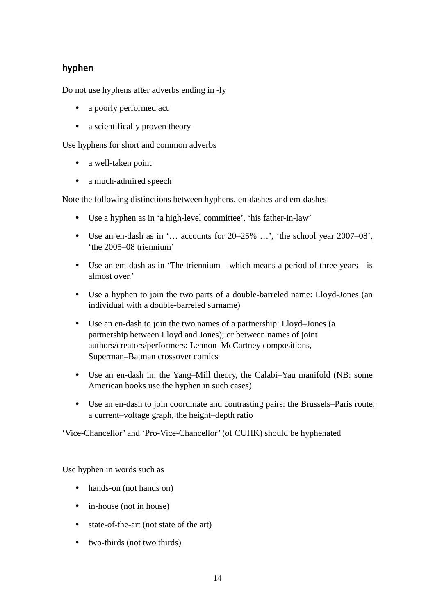# hyphen

Do not use hyphens after adverbs ending in -ly

- a poorly performed act
- a scientifically proven theory

Use hyphens for short and common adverbs

- a well-taken point
- a much-admired speech

Note the following distinctions between hyphens, en-dashes and em-dashes

- Use a hyphen as in 'a high-level committee', 'his father-in-law'
- Use an en-dash as in '… accounts for 20–25% …', 'the school year 2007–08', 'the 2005–08 triennium'
- Use an em-dash as in 'The triennium—which means a period of three years—is almost over.'
- Use a hyphen to join the two parts of a double-barreled name: Lloyd-Jones (an individual with a double-barreled surname)
- Use an en-dash to join the two names of a partnership: Lloyd–Jones (a partnership between Lloyd and Jones); or between names of joint authors/creators/performers: Lennon–McCartney compositions, Superman–Batman crossover comics
- Use an en-dash in: the Yang–Mill theory, the Calabi–Yau manifold (NB: some American books use the hyphen in such cases)
- Use an en-dash to join coordinate and contrasting pairs: the Brussels–Paris route, a current–voltage graph, the height–depth ratio

'Vice-Chancellor' and 'Pro-Vice-Chancellor' (of CUHK) should be hyphenated

Use hyphen in words such as

- hands-on (not hands on)
- in-house (not in house)
- state-of-the-art (not state of the art)
- two-thirds (not two thirds)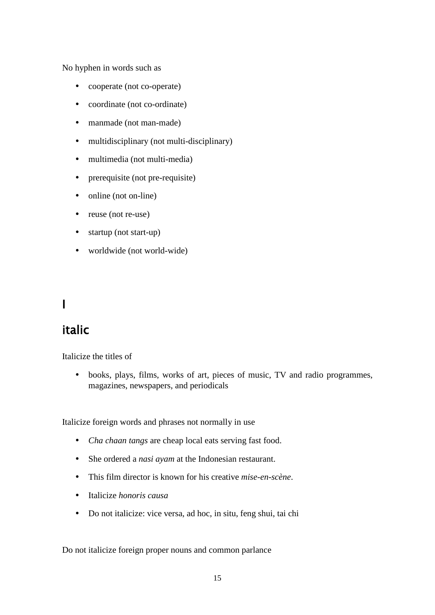No hyphen in words such as

- cooperate (not co-operate)
- coordinate (not co-ordinate)
- manmade (not man-made)
- multidisciplinary (not multi-disciplinary)
- multimedia (not multi-media)
- prerequisite (not pre-requisite)
- online (not on-line)
- $\bullet$  reuse (not re-use)
- startup (not start-up)
- worldwide (not world-wide)

# I

# italic

Italicize the titles of

 books, plays, films, works of art, pieces of music, TV and radio programmes, magazines, newspapers, and periodicals

Italicize foreign words and phrases not normally in use

- *Cha chaan tangs* are cheap local eats serving fast food.
- She ordered a *nasi ayam* at the Indonesian restaurant.
- This film director is known for his creative *mise-en-scène*.
- Italicize *honoris causa*
- Do not italicize: vice versa, ad hoc, in situ, feng shui, tai chi

Do not italicize foreign proper nouns and common parlance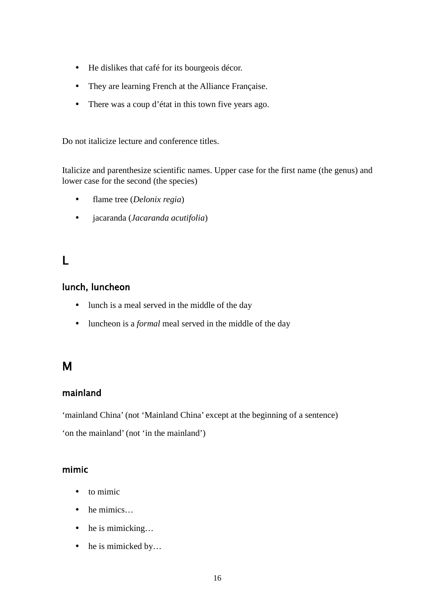- He dislikes that café for its bourgeois décor.
- They are learning French at the Alliance Française.
- There was a coup d'état in this town five years ago.

Do not italicize lecture and conference titles.

Italicize and parenthesize scientific names. Upper case for the first name (the genus) and lower case for the second (the species)

- flame tree (*Delonix regia*)
- jacaranda (*Jacaranda acutifolia*)

# L

# lunch, luncheon

- lunch is a meal served in the middle of the day
- luncheon is a *formal* meal served in the middle of the day

# M

# mainland

'mainland China' (not 'Mainland China' except at the beginning of a sentence)

'on the mainland' (not 'in the mainland')

## mimic

- to mimic
- he mimics...
- he is mimicking...
- he is mimicked by...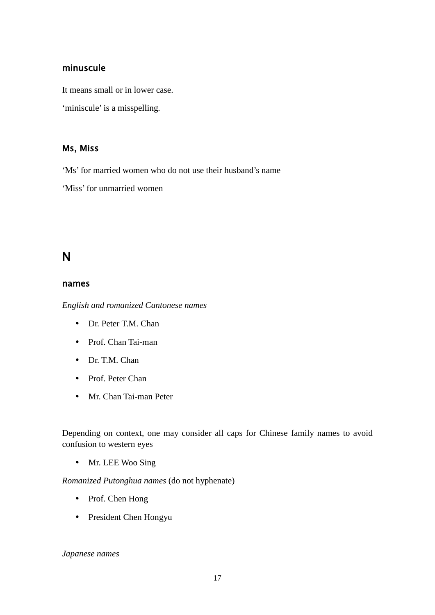### minuscule

It means small or in lower case.

'miniscule' is a misspelling.

### Ms, Miss

'Ms' for married women who do not use their husband's name

'Miss' for unmarried women

# N

### names

*English and romanized Cantonese names*

- Dr. Peter T.M. Chan
- Prof. Chan Tai-man
- Dr. T.M. Chan
- Prof. Peter Chan
- Mr. Chan Tai-man Peter

Depending on context, one may consider all caps for Chinese family names to avoid confusion to western eyes

• Mr. LEE Woo Sing

*Romanized Putonghua names* (do not hyphenate)

- Prof. Chen Hong
- President Chen Hongyu

*Japanese names*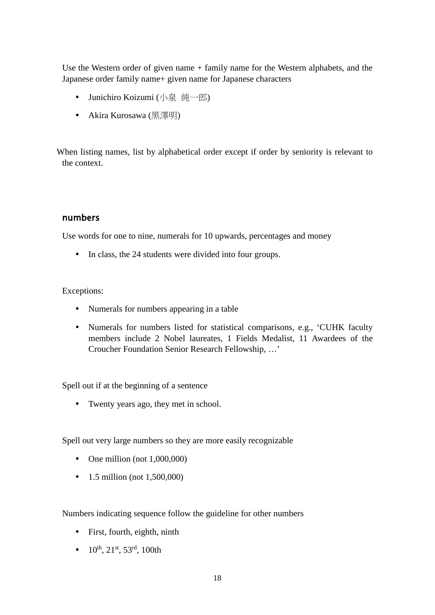Use the Western order of given name + family name for the Western alphabets, and the Japanese order family name+ given name for Japanese characters

- Junichiro Koizumi (小泉 純一郎)
- Akira Kurosawa (黑澤明)

When listing names, list by alphabetical order except if order by seniority is relevant to the context.

### numbers

Use words for one to nine, numerals for 10 upwards, percentages and money

• In class, the 24 students were divided into four groups.

### Exceptions:

- Numerals for numbers appearing in a table
- Numerals for numbers listed for statistical comparisons, e.g., 'CUHK faculty members include 2 Nobel laureates, 1 Fields Medalist, 11 Awardees of the Croucher Foundation Senior Research Fellowship, …'

Spell out if at the beginning of a sentence

Twenty years ago, they met in school.

Spell out very large numbers so they are more easily recognizable

- One million (not  $1,000,000$ )
- $1.5$  million (not  $1,500,000$ )

Numbers indicating sequence follow the guideline for other numbers

- First, fourth, eighth, ninth
- $10^{th}$ ,  $21^{st}$ ,  $53^{rd}$ ,  $100th$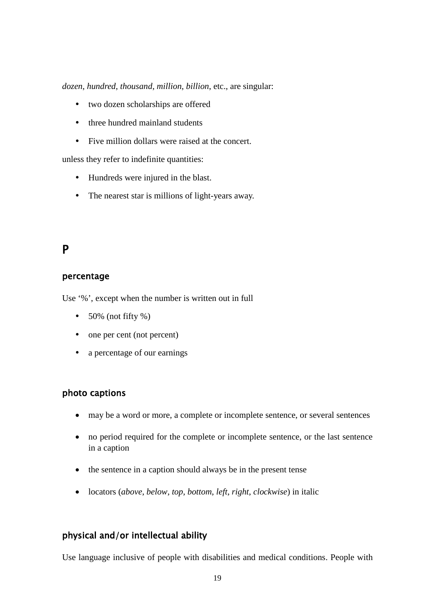*dozen*, *hundred*, *thousand*, *million*, *billion*, etc., are singular:

- two dozen scholarships are offered
- three hundred mainland students
- Five million dollars were raised at the concert.

unless they refer to indefinite quantities:

- Hundreds were injured in the blast.
- The nearest star is millions of light-years away.

# P

### percentage

Use '%', except when the number is written out in full

- $\cdot$  50% (not fifty %)
- one per cent (not percent)
- a percentage of our earnings

### photo captions

- may be a word or more, a complete or incomplete sentence, or several sentences
- no period required for the complete or incomplete sentence, or the last sentence in a caption
- the sentence in a caption should always be in the present tense
- locators (*above*, *below*, *top*, *bottom*, *left*, *right*, *clockwise*) in italic

## physical and/or intellectual ability

Use language inclusive of people with disabilities and medical conditions. People with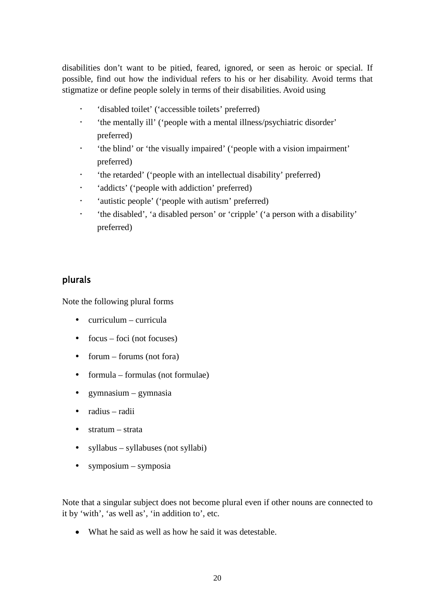disabilities don't want to be pitied, feared, ignored, or seen as heroic or special. If possible, find out how the individual refers to his or her disability. Avoid terms that stigmatize or define people solely in terms of their disabilities. Avoid using

- 'disabled toilet' ('accessible toilets' preferred)
- 'the mentally ill' ('people with a mental illness/psychiatric disorder' preferred)
- 'the blind' or 'the visually impaired' ('people with a vision impairment' preferred)
- 'the retarded' ('people with an intellectual disability' preferred)
- 'addicts' ('people with addiction' preferred)
- 'autistic people' ('people with autism' preferred)
- 'the disabled', 'a disabled person' or 'cripple' ('a person with a disability' preferred)

### plurals

Note the following plural forms

- $\bullet$  curriculum curricula
- $\bullet$  focus foci (not focuses)
- forum forums (not fora)
- $\bullet$  formula formulae (not formulae)
- $\bullet$  gymnasium gymnasia
- radius radii
- stratum strata
- syllabus syllabuses (not syllabi)
- symposium symposia

Note that a singular subject does not become plural even if other nouns are connected to it by 'with', 'as well as', 'in addition to', etc.

• What he said as well as how he said it was detestable.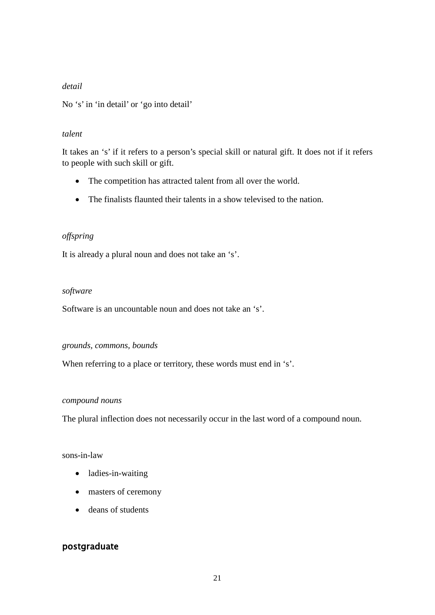### *detail*

No 's' in 'in detail' or 'go into detail'

### *talent*

It takes an 's' if it refers to a person's special skill or natural gift. It does not if it refers to people with such skill or gift.

- The competition has attracted talent from all over the world.
- The finalists flaunted their talents in a show televised to the nation.

### *offspring*

It is already a plural noun and does not take an 's'.

### *software*

Software is an uncountable noun and does not take an 's'.

### *grounds, commons, bounds*

When referring to a place or territory, these words must end in 's'.

#### *compound nouns*

The plural inflection does not necessarily occur in the last word of a compound noun.

### sons-in-law

- ladies-in-waiting
- masters of ceremony
- deans of students

## postgraduate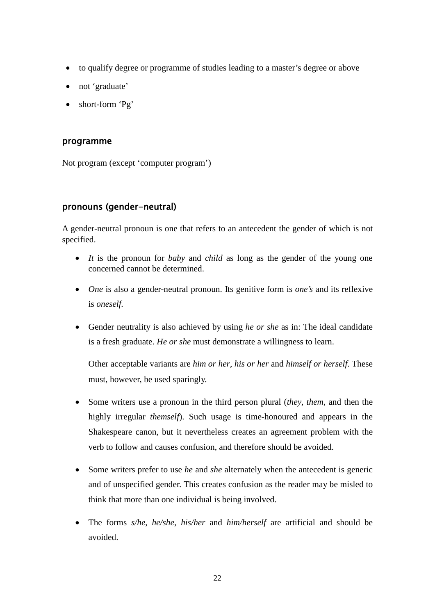- to qualify degree or programme of studies leading to a master's degree or above
- not 'graduate'
- short-form 'Pg'

#### programme

Not program (except 'computer program')

### pronouns (gender-neutral)

A gender-neutral pronoun is one that refers to an antecedent the gender of which is not specified.

- *It* is the pronoun for *baby* and *child* as long as the gender of the young one concerned cannot be determined.
- *One* is also a gender-neutral pronoun. Its genitive form is *one's* and its reflexive is *oneself.*
- Gender neutrality is also achieved by using *he or she* as in: The ideal candidate is a fresh graduate. *He or she* must demonstrate a willingness to learn.

Other acceptable variants are *him or her*, *his or her* and *himself or herself*. These must, however, be used sparingly.

- Some writers use a pronoun in the third person plural (*they*, *them*, and then the highly irregular *themself*). Such usage is time-honoured and appears in the Shakespeare canon, but it nevertheless creates an agreement problem with the verb to follow and causes confusion, and therefore should be avoided.
- Some writers prefer to use *he* and *she* alternately when the antecedent is generic and of unspecified gender. This creates confusion as the reader may be misled to think that more than one individual is being involved.
- The forms *s/he*, *he/she*, *his/her* and *him/herself* are artificial and should be avoided.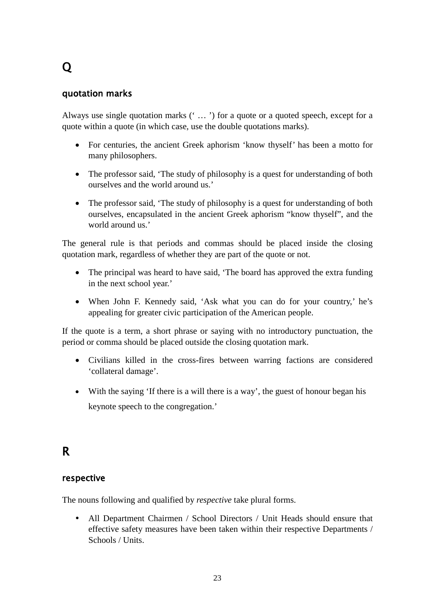# Q

### quotation marks

Always use single quotation marks (' … ') for a quote or a quoted speech, except for a quote within a quote (in which case, use the double quotations marks).

- For centuries, the ancient Greek aphorism 'know thyself' has been a motto for many philosophers.
- The professor said, 'The study of philosophy is a quest for understanding of both ourselves and the world around us.'
- The professor said, 'The study of philosophy is a quest for understanding of both ourselves, encapsulated in the ancient Greek aphorism "know thyself", and the world around us.'

The general rule is that periods and commas should be placed inside the closing quotation mark, regardless of whether they are part of the quote or not.

- The principal was heard to have said, 'The board has approved the extra funding in the next school year.'
- When John F. Kennedy said, 'Ask what you can do for your country,' he's appealing for greater civic participation of the American people.

If the quote is a term, a short phrase or saying with no introductory punctuation, the period or comma should be placed outside the closing quotation mark.

- Civilians killed in the cross-fires between warring factions are considered 'collateral damage'.
- With the saying 'If there is a will there is a way', the guest of honour began his keynote speech to the congregation.'

# R

### respective

The nouns following and qualified by *respective* take plural forms.

 All Department Chairmen / School Directors / Unit Heads should ensure that effective safety measures have been taken within their respective Departments / Schools / Units.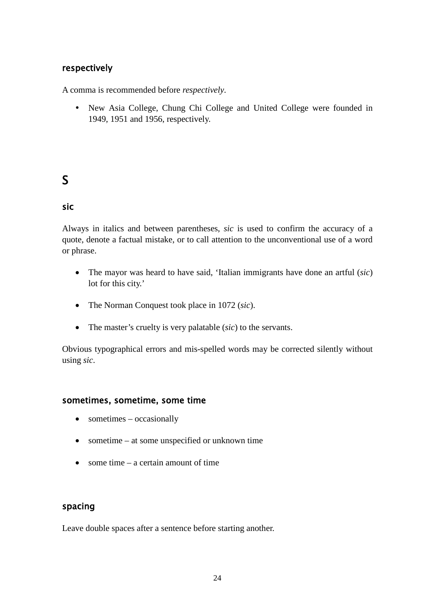### respectively

A comma is recommended before *respectively*.

 New Asia College, Chung Chi College and United College were founded in 1949, 1951 and 1956, respectively.

# S

## sic

Always in italics and between parentheses, *sic* is used to confirm the accuracy of a quote, denote a factual mistake, or to call attention to the unconventional use of a word or phrase.

- The mayor was heard to have said, 'Italian immigrants have done an artful (*sic*) lot for this city.'
- The Norman Conquest took place in 1072 (*sic*).
- The master's cruelty is very palatable (*sic*) to the servants.

Obvious typographical errors and mis-spelled words may be corrected silently without using *sic*.

### sometimes, sometime, some time

- sometimes occasionally
- sometime at some unspecified or unknown time
- some time a certain amount of time

### spacing

Leave double spaces after a sentence before starting another.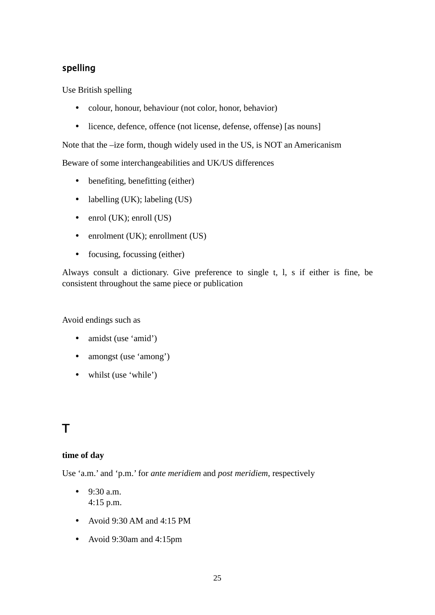# spelling

Use British spelling

- colour, honour, behaviour (not color, honor, behavior)
- licence, defence, offence (not license, defense, offense) [as nouns]

Note that the –ize form, though widely used in the US, is NOT an Americanism

Beware of some interchangeabilities and UK/US differences

- benefiting, benefitting (either)
- labelling (UK); labeling (US)
- enrol (UK); enroll (US)
- enrolment (UK); enrollment (US)
- focusing, focussing (either)

Always consult a dictionary. Give preference to single t, l, s if either is fine, be consistent throughout the same piece or publication

Avoid endings such as

- amidst (use 'amid')
- amongst (use 'among')
- whilst (use 'while')

# T

### **time of day**

Use 'a.m.' and 'p.m.' for *ante meridiem* and *post meridiem*, respectively

- $-9:30$  a.m. 4:15 p.m.
- Avoid 9:30 AM and 4:15 PM
- Avoid 9:30am and 4:15pm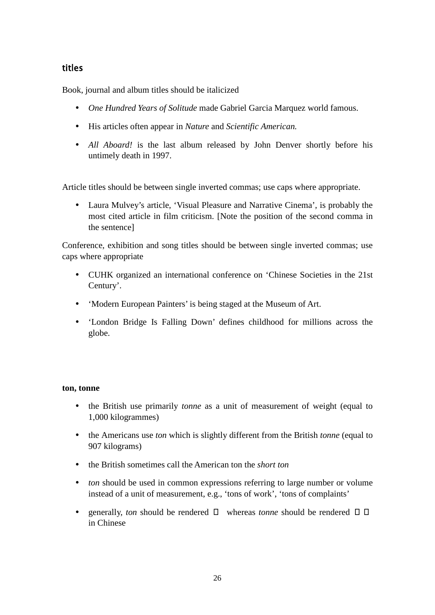# titles

Book, journal and album titles should be italicized

- *One Hundred Years of Solitude* made Gabriel Garcia Marquez world famous.
- His articles often appear in *Nature* and *Scientific American.*
- *All Aboard!* is the last album released by John Denver shortly before his untimely death in 1997.

Article titles should be between single inverted commas; use caps where appropriate.

 Laura Mulvey's article, 'Visual Pleasure and Narrative Cinema', is probably the most cited article in film criticism. [Note the position of the second comma in the sentence]

Conference, exhibition and song titles should be between single inverted commas; use caps where appropriate

- CUHK organized an international conference on 'Chinese Societies in the 21st Century'.
- 'Modern European Painters' is being staged at the Museum of Art.
- 'London Bridge Is Falling Down' defines childhood for millions across the globe.

### **ton, tonne**

- the British use primarily *tonne* as a unit of measurement of weight (equal to 1,000 kilogrammes)
- the Americans use *ton* which is slightly different from the British *tonne* (equal to 907 kilograms)
- the British sometimes call the American ton the *short ton*
- *ton* should be used in common expressions referring to large number or volume instead of a unit of measurement, e.g., 'tons of work', 'tons of complaints'
- generally, *ton* should be rendered  $\Box$  whereas *tonne* should be rendered  $\Box$   $\Box$ in Chinese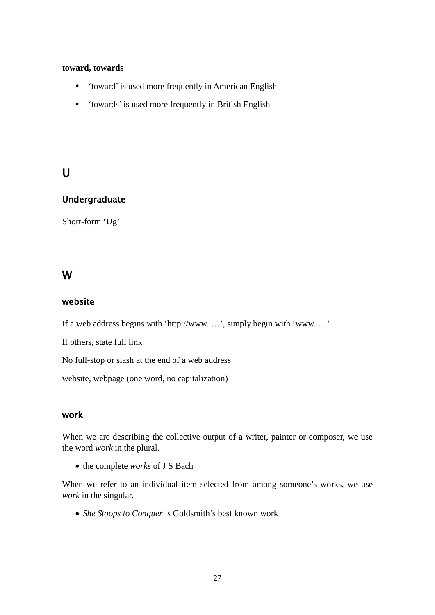#### **toward, towards**

- 'toward' is used more frequently in American English
- 'towards' is used more frequently in British English

# $\overline{U}$

## Undergraduate

Short-form 'Ug'

# W

## website

If a web address begins with 'http://www. …', simply begin with 'www. …'

If others, state full link

No full-stop or slash at the end of a web address

website, webpage (one word, no capitalization)

# work

When we are describing the collective output of a writer, painter or composer, we use the word *work* in the plural.

• the complete *works* of J S Bach

When we refer to an individual item selected from among someone's works, we use *work* in the singular.

• *She Stoops to Conquer* is Goldsmith's best known work